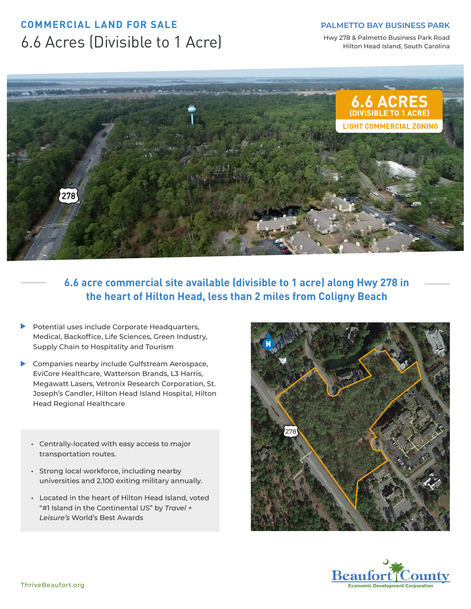# **COMMERCIAL LAND FOR SALE** 6.6 Acres (Divisible to 1 Acre)

#### **PALMETTO BAY BUSINESS PARK**

Hwy 278 & Palmetto Business Park Road Hilton Head Island, South Carolina



**6.6 acre commercial site available (divisible to 1 acre) along Hwy 278 in the heart of Hilton Head, less than 2 miles from Coligny Beach**

- **Potential uses include Corporate Headquarters,** Medical, Backoffice, Life Sciences, Green Industry, Supply Chain to Hospitality and Tourism
- Companies nearby include Gulfstream Aerospace, EviCore Healthcare, Watterson Brands, L3 Harris, Megawatt Lasers, Vetronix Research Corporation, St. Joseph's Candler, Hilton Head Island Hospital, Hilton Head Regional Healthcare
	- **•** Centrally-located with easy access to major transportation routes.
	- **•** Strong local workforce, including nearby universities and 2,100 exiting military annually.
	- **•** Located in the heart of Hilton Head Island, voted "#1 Island in the Continental US" by *Travel + Leisure's* World's Best Awards